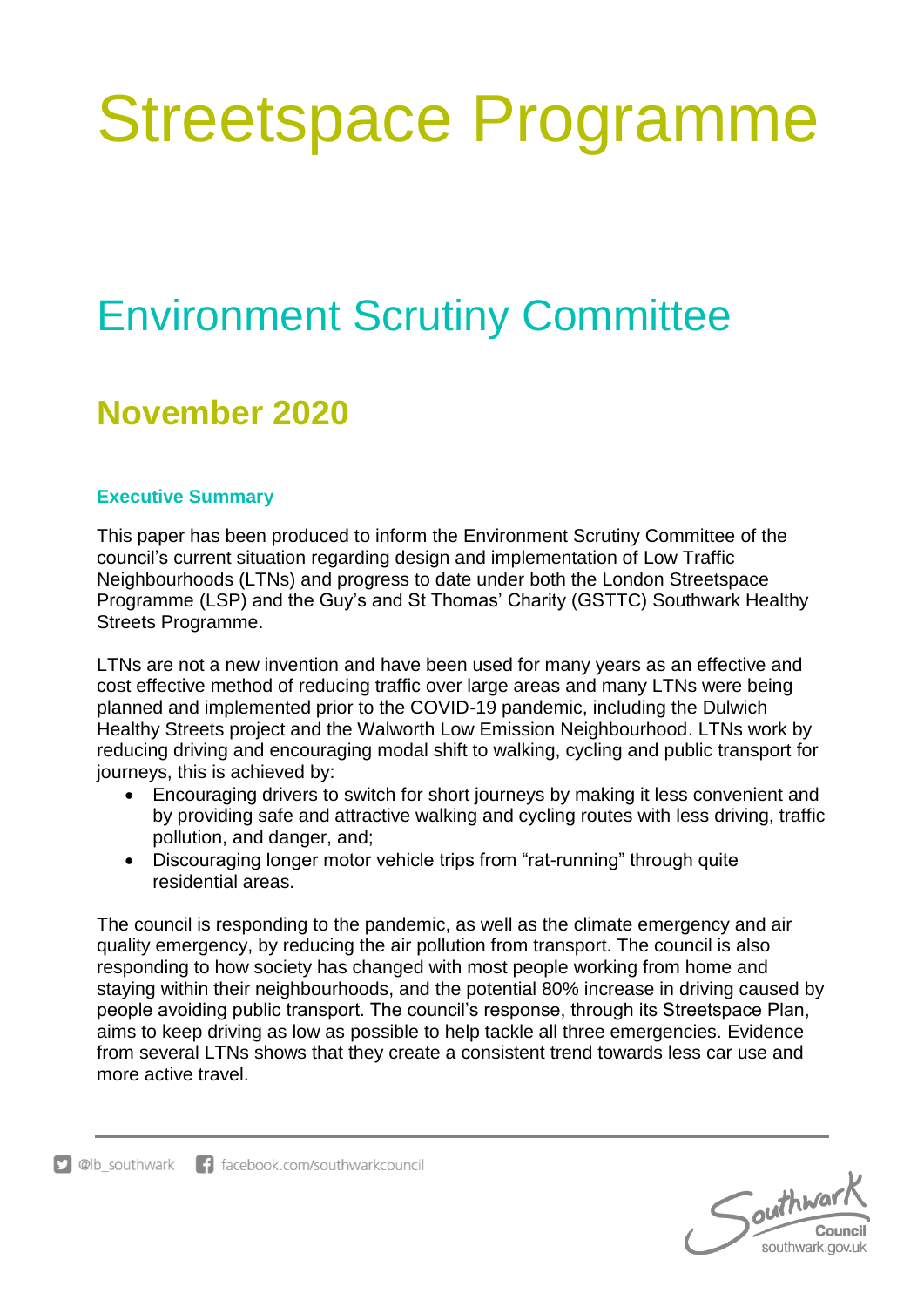# Streetspace Programme

## Environment Scrutiny Committee

### **November 2020**

#### **Executive Summary**

This paper has been produced to inform the Environment Scrutiny Committee of the council's current situation regarding design and implementation of Low Traffic Neighbourhoods (LTNs) and progress to date under both the London Streetspace Programme (LSP) and the Guy's and St Thomas' Charity (GSTTC) Southwark Healthy Streets Programme.

LTNs are not a new invention and have been used for many years as an effective and cost effective method of reducing traffic over large areas and many LTNs were being planned and implemented prior to the COVID-19 pandemic, including the Dulwich Healthy Streets project and the Walworth Low Emission Neighbourhood. LTNs work by reducing driving and encouraging modal shift to walking, cycling and public transport for journeys, this is achieved by:

- Encouraging drivers to switch for short journeys by making it less convenient and by providing safe and attractive walking and cycling routes with less driving, traffic pollution, and danger, and;
- Discouraging longer motor vehicle trips from "rat-running" through quite residential areas.

The council is responding to the pandemic, as well as the climate emergency and air quality emergency, by reducing the air pollution from transport. The council is also responding to how society has changed with most people working from home and staying within their neighbourhoods, and the potential 80% increase in driving caused by people avoiding public transport. The council's response, through its Streetspace Plan, aims to keep driving as low as possible to help tackle all three emergencies. Evidence from several LTNs shows that they create a consistent trend towards less car use and more active travel.

Southwar southwark.gov.uk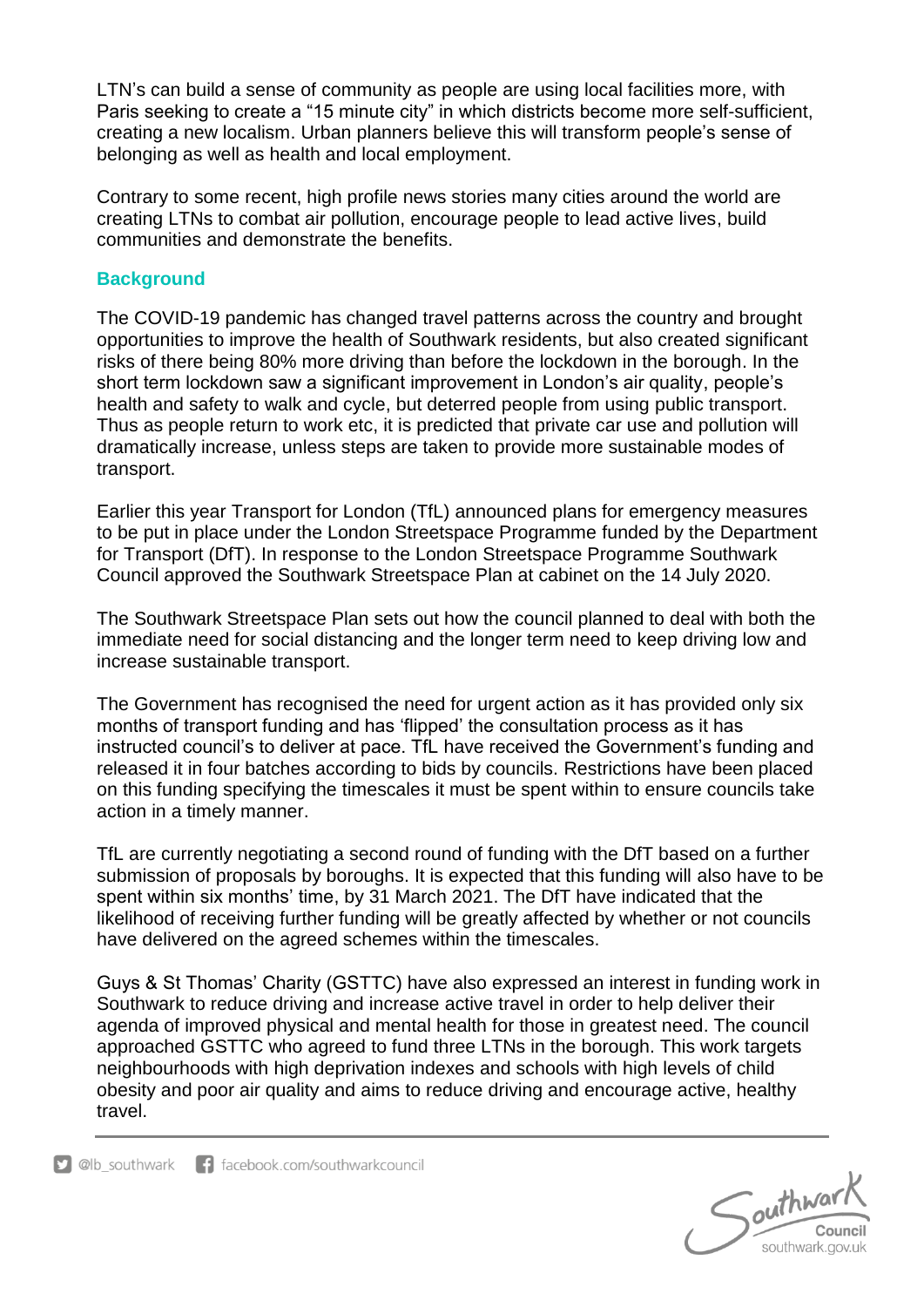LTN's can build a sense of community as people are using local facilities more, with Paris seeking to create a "15 minute city" in which districts become more self-sufficient, creating a new localism. Urban planners believe this will transform people's sense of belonging as well as health and local employment.

Contrary to some recent, high profile news stories many cities around the world are creating LTNs to combat air pollution, encourage people to lead active lives, build communities and demonstrate the benefits.

#### **Background**

The COVID-19 pandemic has changed travel patterns across the country and brought opportunities to improve the health of Southwark residents, but also created significant risks of there being 80% more driving than before the lockdown in the borough. In the short term lockdown saw a significant improvement in London's air quality, people's health and safety to walk and cycle, but deterred people from using public transport. Thus as people return to work etc, it is predicted that private car use and pollution will dramatically increase, unless steps are taken to provide more sustainable modes of transport.

Earlier this year Transport for London (TfL) announced plans for emergency measures to be put in place under the London Streetspace Programme funded by the Department for Transport (DfT). In response to the London Streetspace Programme Southwark Council approved the Southwark Streetspace Plan at cabinet on the 14 July 2020.

The Southwark Streetspace Plan sets out how the council planned to deal with both the immediate need for social distancing and the longer term need to keep driving low and increase sustainable transport.

The Government has recognised the need for urgent action as it has provided only six months of transport funding and has 'flipped' the consultation process as it has instructed council's to deliver at pace. TfL have received the Government's funding and released it in four batches according to bids by councils. Restrictions have been placed on this funding specifying the timescales it must be spent within to ensure councils take action in a timely manner.

TfL are currently negotiating a second round of funding with the DfT based on a further submission of proposals by boroughs. It is expected that this funding will also have to be spent within six months' time, by 31 March 2021. The DfT have indicated that the likelihood of receiving further funding will be greatly affected by whether or not councils have delivered on the agreed schemes within the timescales.

Guys & St Thomas' Charity (GSTTC) have also expressed an interest in funding work in Southwark to reduce driving and increase active travel in order to help deliver their agenda of improved physical and mental health for those in greatest need. The council approached GSTTC who agreed to fund three LTNs in the borough. This work targets neighbourhoods with high deprivation indexes and schools with high levels of child obesity and poor air quality and aims to reduce driving and encourage active, healthy travel.

Southwark southwark.gov.uk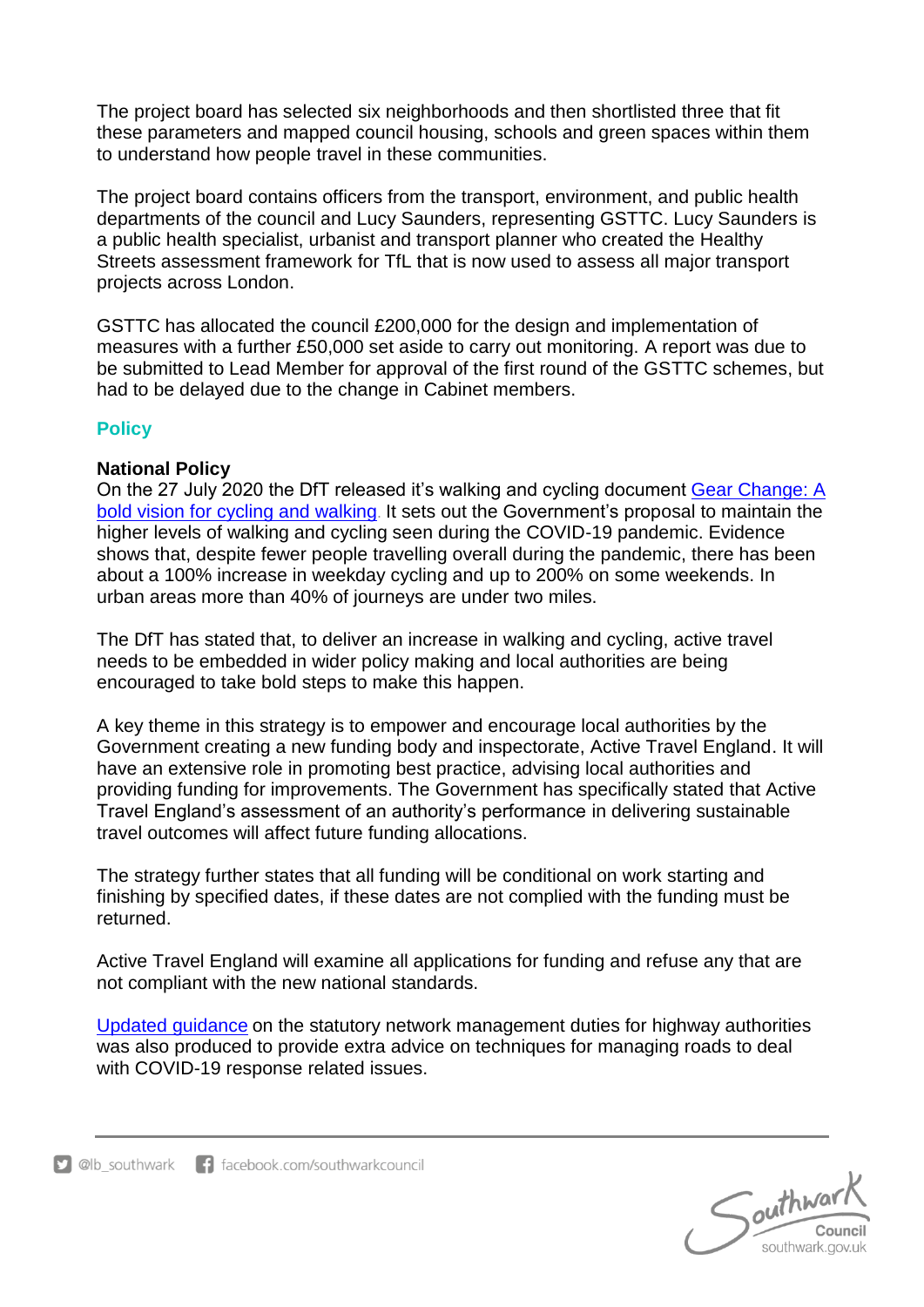The project board has selected six neighborhoods and then shortlisted three that fit these parameters and mapped council housing, schools and green spaces within them to understand how people travel in these communities.

The project board contains officers from the transport, environment, and public health departments of the council and Lucy Saunders, representing GSTTC. Lucy Saunders is a public health specialist, urbanist and transport planner who created the Healthy Streets assessment framework for TfL that is now used to assess all major transport projects across London.

GSTTC has allocated the council £200,000 for the design and implementation of measures with a further £50,000 set aside to carry out monitoring. A report was due to be submitted to Lead Member for approval of the first round of the GSTTC schemes, but had to be delayed due to the change in Cabinet members.

#### **Policy**

#### **National Policy**

On the 27 July 2020 the DfT released it's walking and cycling document [Gear Change: A](https://assets.publishing.service.gov.uk/government/uploads/system/uploads/attachment_data/file/904146/gear-change-a-bold-vision-for-cycling-and-walking.pdf)  [bold vision for cycling and walking](https://assets.publishing.service.gov.uk/government/uploads/system/uploads/attachment_data/file/904146/gear-change-a-bold-vision-for-cycling-and-walking.pdf). It sets out the Government's proposal to maintain the higher levels of walking and cycling seen during the COVID-19 pandemic. Evidence shows that, despite fewer people travelling overall during the pandemic, there has been about a 100% increase in weekday cycling and up to 200% on some weekends. In urban areas more than 40% of journeys are under two miles.

The DfT has stated that, to deliver an increase in walking and cycling, active travel needs to be embedded in wider policy making and local authorities are being encouraged to take bold steps to make this happen.

A key theme in this strategy is to empower and encourage local authorities by the Government creating a new funding body and inspectorate, Active Travel England. It will have an extensive role in promoting best practice, advising local authorities and providing funding for improvements. The Government has specifically stated that Active Travel England's assessment of an authority's performance in delivering sustainable travel outcomes will affect future funding allocations.

The strategy further states that all funding will be conditional on work starting and finishing by specified dates, if these dates are not complied with the funding must be returned.

Active Travel England will examine all applications for funding and refuse any that are not compliant with the new national standards.

Updated [guidance](https://www.gov.uk/government/publications/reallocating-road-space-in-response-to-covid-19-statutory-guidance-for-local-authorities/traffic-management-act-2004-network-management-in-response-to-covid-19) on the statutory network management duties for highway authorities was also produced to provide extra advice on techniques for managing roads to deal with COVID-19 response related issues.

 $S$ outhward southwark.gov.uk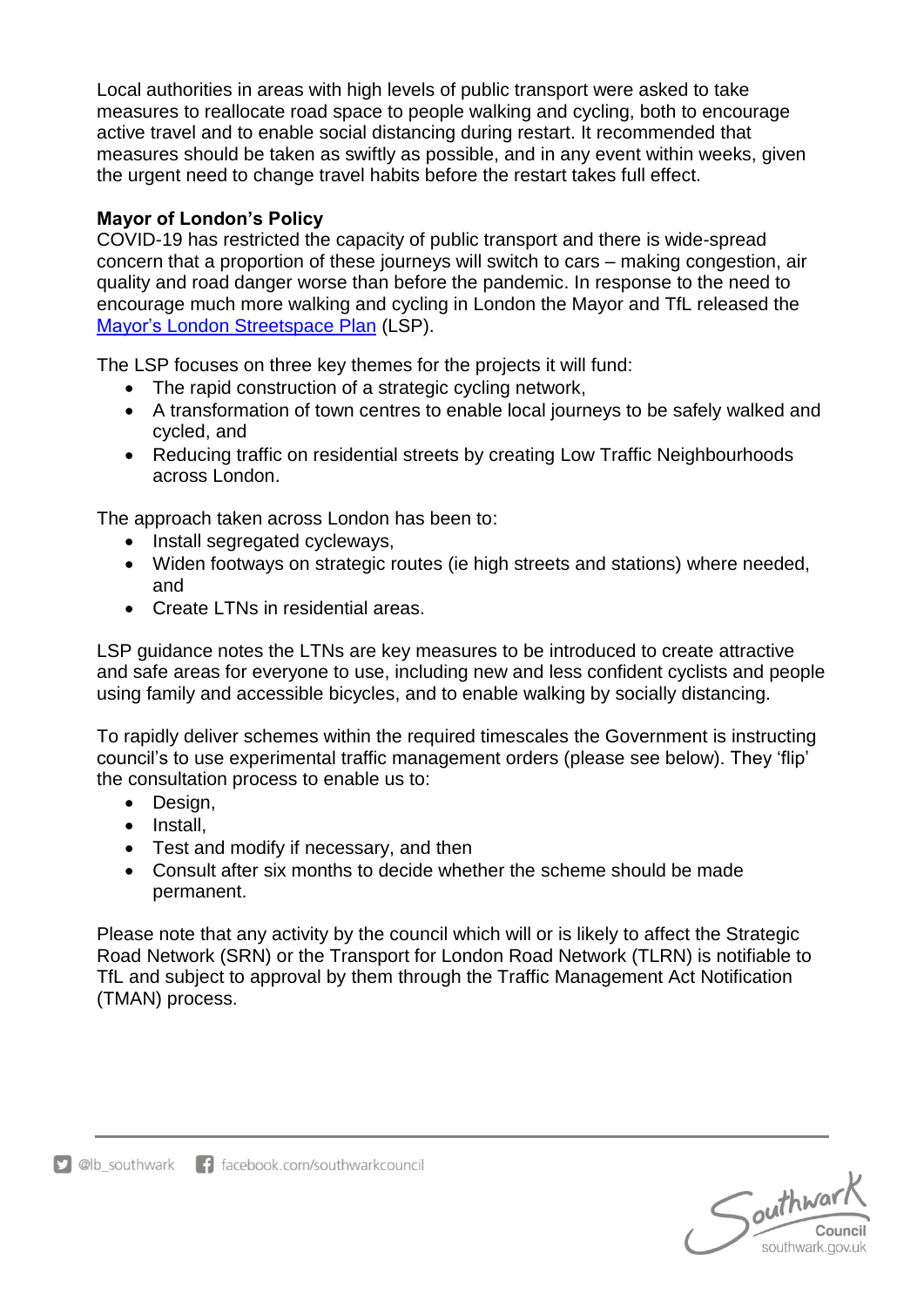Local authorities in areas with high levels of public transport were asked to take measures to reallocate road space to people walking and cycling, both to encourage active travel and to enable social distancing during restart. It recommended that measures should be taken as swiftly as possible, and in any event within weeks, given the urgent need to change travel habits before the restart takes full effect.

#### **Mayor of London's Policy**

COVID-19 has restricted the capacity of public transport and there is wide-spread concern that a proportion of these journeys will switch to cars – making congestion, air quality and road danger worse than before the pandemic. In response to the need to encourage much more walking and cycling in London the Mayor and TfL released the Mayor's [London Streetspace Plan](http://content.tfl.gov.uk/lsp-interim-borough-guidance-main-doc.pdf) (LSP).

The LSP focuses on three key themes for the projects it will fund:

- The rapid construction of a strategic cycling network,
- A transformation of town centres to enable local journeys to be safely walked and cycled, and
- Reducing traffic on residential streets by creating Low Traffic Neighbourhoods across London.

The approach taken across London has been to:

- Install segregated cycleways,
- Widen footways on strategic routes (ie high streets and stations) where needed, and
- Create LTNs in residential areas.

LSP guidance notes the LTNs are key measures to be introduced to create attractive and safe areas for everyone to use, including new and less confident cyclists and people using family and accessible bicycles, and to enable walking by socially distancing.

To rapidly deliver schemes within the required timescales the Government is instructing council's to use experimental traffic management orders (please see below). They 'flip' the consultation process to enable us to:

- Design,
- Install.
- Test and modify if necessary, and then
- Consult after six months to decide whether the scheme should be made permanent.

Please note that any activity by the council which will or is likely to affect the Strategic Road Network (SRN) or the Transport for London Road Network (TLRN) is notifiable to TfL and subject to approval by them through the Traffic Management Act Notification (TMAN) process.

 $S$ outhward southwark.gov.uk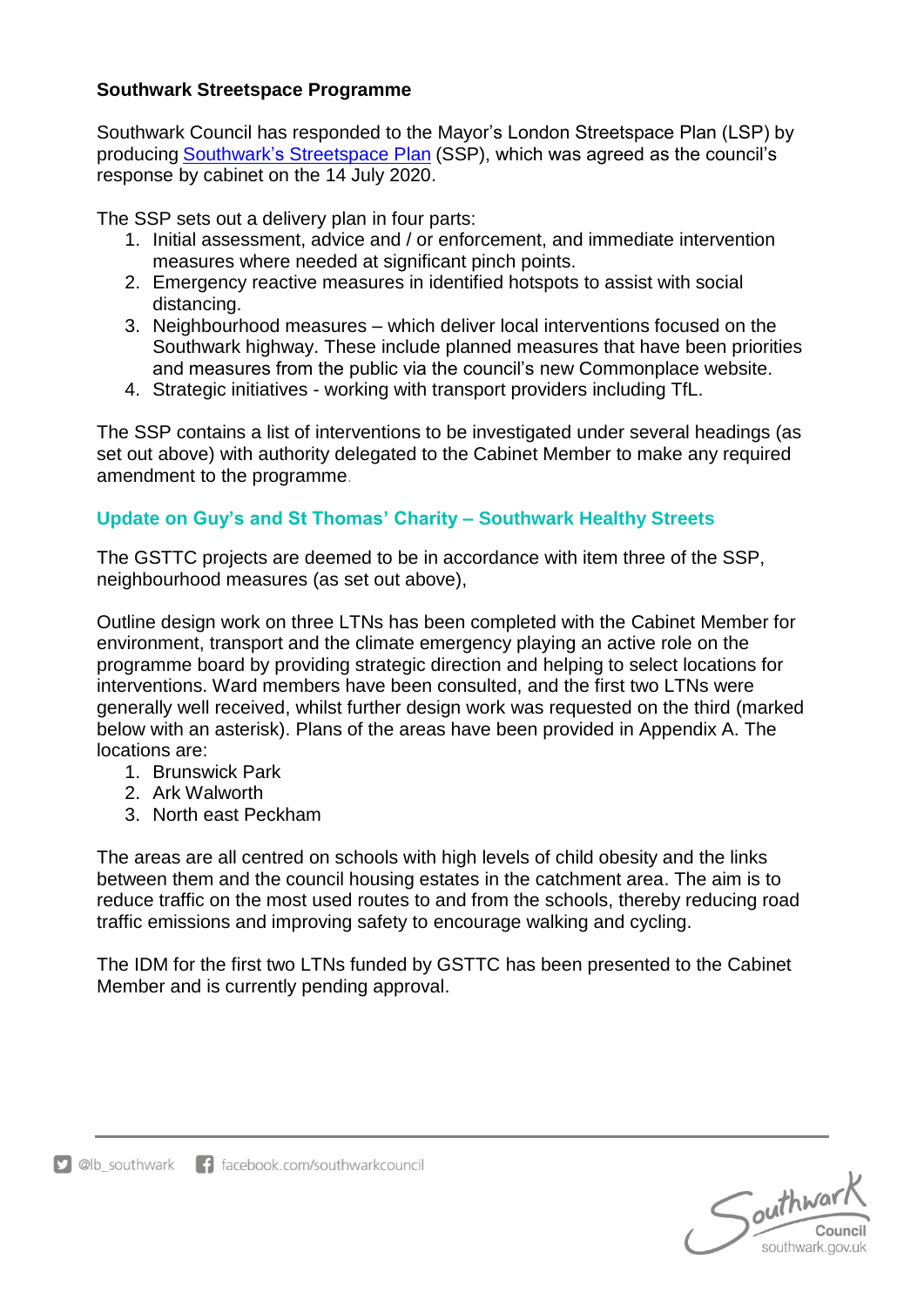#### **Southwark Streetspace Programme**

Southwark Council has responded to the Mayor's London Streetspace Plan (LSP) by producing Southwark's [Streetspace Plan](http://moderngov.southwark.gov.uk/ieDecisionDetails.aspx?AIId=57398) (SSP), which was agreed as the council's response by cabinet on the 14 July 2020.

The SSP sets out a delivery plan in four parts:

- 1. Initial assessment, advice and / or enforcement, and immediate intervention measures where needed at significant pinch points.
- 2. Emergency reactive measures in identified hotspots to assist with social distancing.
- 3. Neighbourhood measures which deliver local interventions focused on the Southwark highway. These include planned measures that have been priorities and measures from the public via the council's new Commonplace website.
- 4. Strategic initiatives working with transport providers including TfL.

The SSP contains a list of interventions to be investigated under several headings (as set out above) with authority delegated to the Cabinet Member to make any required amendment to the programme.

#### **Update on Guy's and St Thomas' Charity – Southwark Healthy Streets**

The GSTTC projects are deemed to be in accordance with item three of the SSP, neighbourhood measures (as set out above),

Outline design work on three LTNs has been completed with the Cabinet Member for environment, transport and the climate emergency playing an active role on the programme board by providing strategic direction and helping to select locations for interventions. Ward members have been consulted, and the first two LTNs were generally well received, whilst further design work was requested on the third (marked below with an asterisk). Plans of the areas have been provided in Appendix A. The locations are:

- 1. Brunswick Park
- 2. Ark Walworth
- 3. North east Peckham

The areas are all centred on schools with high levels of child obesity and the links between them and the council housing estates in the catchment area. The aim is to reduce traffic on the most used routes to and from the schools, thereby reducing road traffic emissions and improving safety to encourage walking and cycling.

The IDM for the first two LTNs funded by GSTTC has been presented to the Cabinet Member and is currently pending approval.

Southwar Council southwark.gov.uk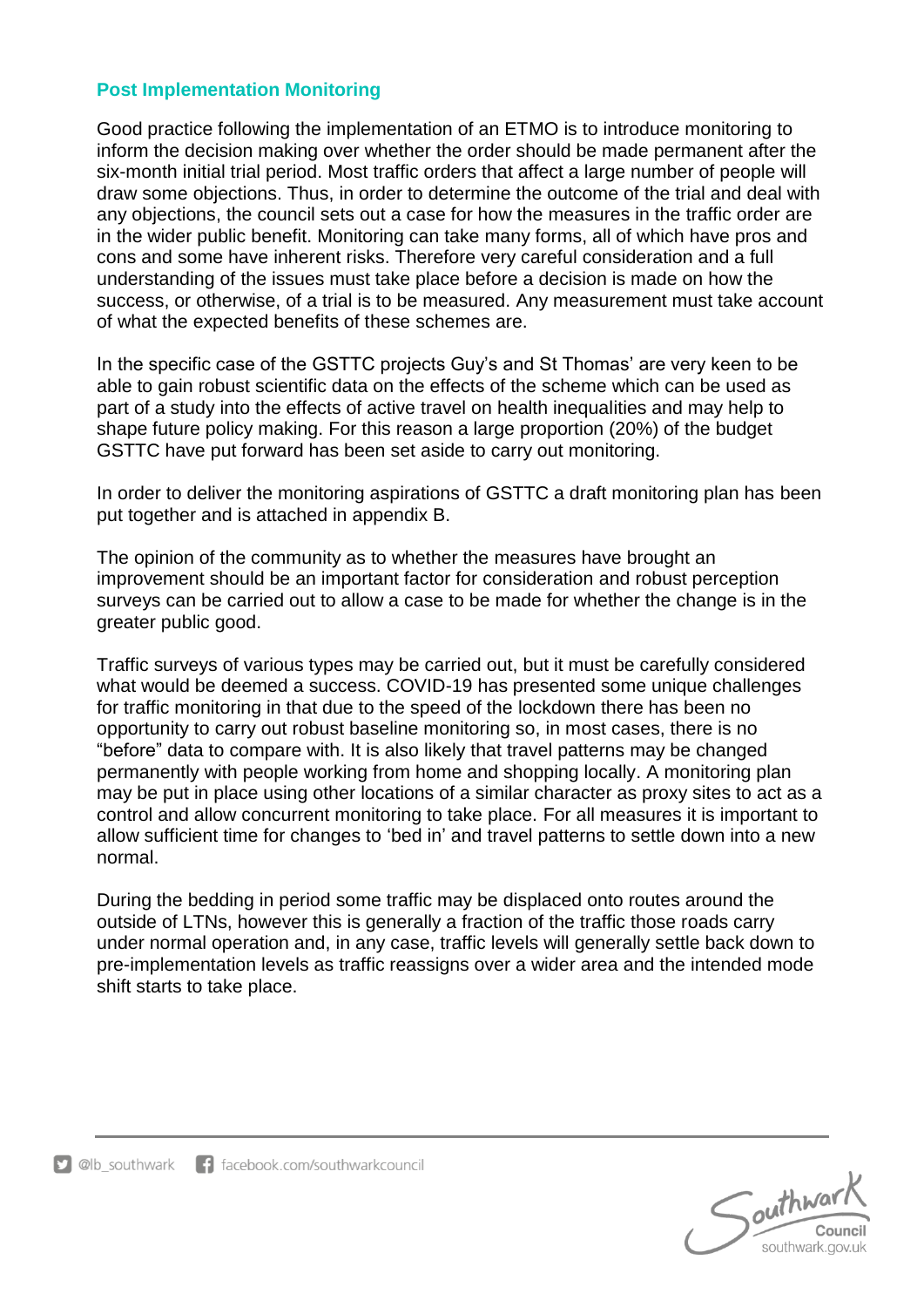#### **Post Implementation Monitoring**

Good practice following the implementation of an ETMO is to introduce monitoring to inform the decision making over whether the order should be made permanent after the six-month initial trial period. Most traffic orders that affect a large number of people will draw some objections. Thus, in order to determine the outcome of the trial and deal with any objections, the council sets out a case for how the measures in the traffic order are in the wider public benefit. Monitoring can take many forms, all of which have pros and cons and some have inherent risks. Therefore very careful consideration and a full understanding of the issues must take place before a decision is made on how the success, or otherwise, of a trial is to be measured. Any measurement must take account of what the expected benefits of these schemes are.

In the specific case of the GSTTC projects Guy's and St Thomas' are very keen to be able to gain robust scientific data on the effects of the scheme which can be used as part of a study into the effects of active travel on health inequalities and may help to shape future policy making. For this reason a large proportion (20%) of the budget GSTTC have put forward has been set aside to carry out monitoring.

In order to deliver the monitoring aspirations of GSTTC a draft monitoring plan has been put together and is attached in appendix B.

The opinion of the community as to whether the measures have brought an improvement should be an important factor for consideration and robust perception surveys can be carried out to allow a case to be made for whether the change is in the greater public good.

Traffic surveys of various types may be carried out, but it must be carefully considered what would be deemed a success. COVID-19 has presented some unique challenges for traffic monitoring in that due to the speed of the lockdown there has been no opportunity to carry out robust baseline monitoring so, in most cases, there is no "before" data to compare with. It is also likely that travel patterns may be changed permanently with people working from home and shopping locally. A monitoring plan may be put in place using other locations of a similar character as proxy sites to act as a control and allow concurrent monitoring to take place. For all measures it is important to allow sufficient time for changes to 'bed in' and travel patterns to settle down into a new normal.

During the bedding in period some traffic may be displaced onto routes around the outside of LTNs, however this is generally a fraction of the traffic those roads carry under normal operation and, in any case, traffic levels will generally settle back down to pre-implementation levels as traffic reassigns over a wider area and the intended mode shift starts to take place.

Southwar southwark.gov.uk